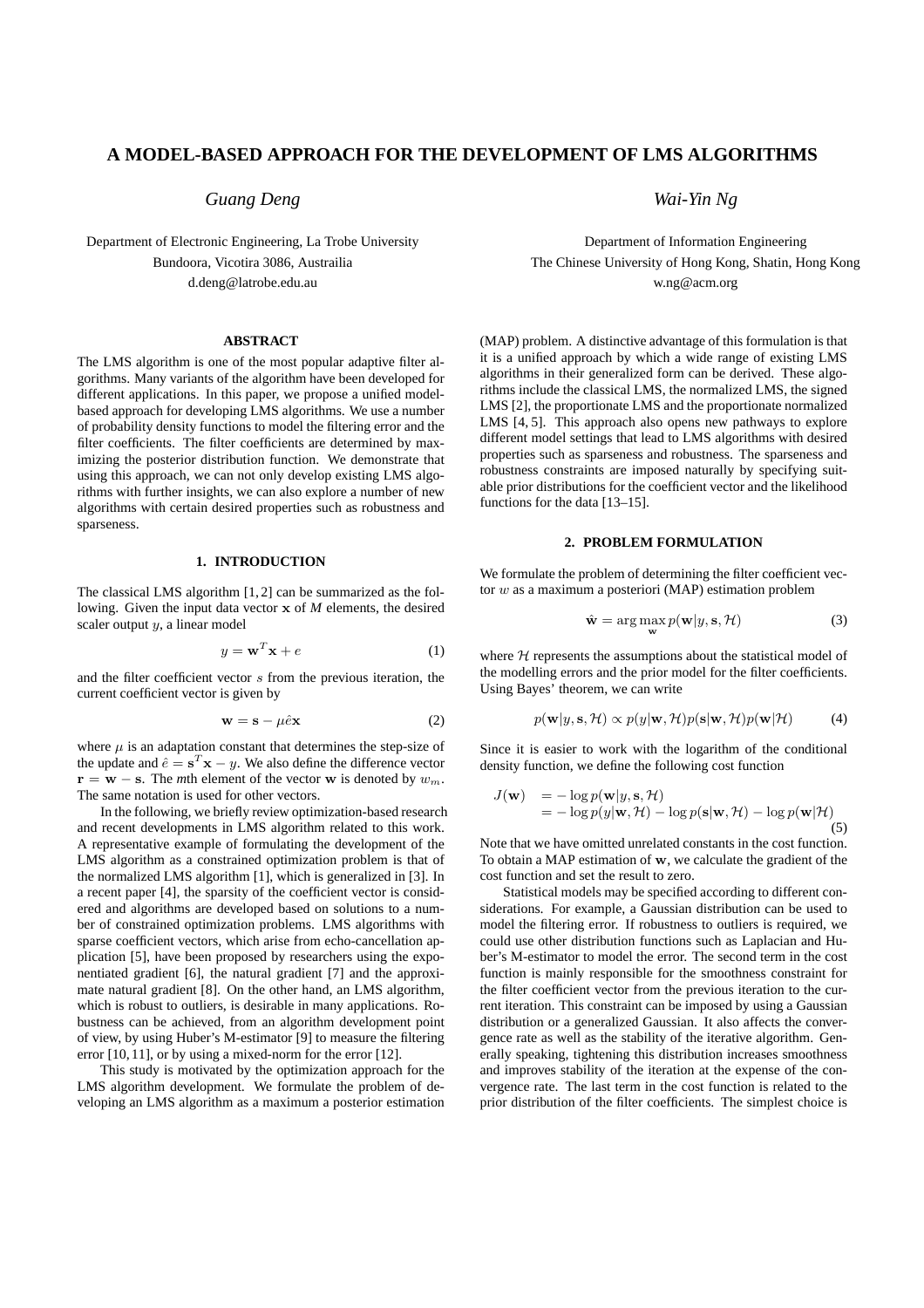# **A MODEL-BASED APPROACH FOR THE DEVELOPMENT OF LMS ALGORITHMS**

*Guang Deng*

Department of Electronic Engineering, La Trobe University Bundoora, Vicotira 3086, Austrailia d.deng@latrobe.edu.au

## **ABSTRACT**

The LMS algorithm is one of the most popular adaptive filter algorithms. Many variants of the algorithm have been developed for different applications. In this paper, we propose a unified modelbased approach for developing LMS algorithms. We use a number of probability density functions to model the filtering error and the filter coefficients. The filter coefficients are determined by maximizing the posterior distribution function. We demonstrate that using this approach, we can not only develop existing LMS algorithms with further insights, we can also explore a number of new algorithms with certain desired properties such as robustness and sparseness.

### **1. INTRODUCTION**

The classical LMS algorithm [1, 2] can be summarized as the following. Given the input data vector x of *M* elements, the desired scaler output  $y$ , a linear model

$$
y = \mathbf{w}^T \mathbf{x} + e \tag{1}
$$

and the filter coefficient vector s from the previous iteration, the current coefficient vector is given by

$$
\mathbf{w} = \mathbf{s} - \mu \hat{e} \mathbf{x} \tag{2}
$$

where  $\mu$  is an adaptation constant that determines the step-size of the update and  $\hat{e} = \mathbf{s}^T \mathbf{x} - y$ . We also define the difference vector  $\mathbf{r} = \mathbf{w} - \mathbf{s}$ . The *m*th element of the vector **w** is denoted by  $w_m$ . The same notation is used for other vectors.

In the following, we briefly review optimization-based research and recent developments in LMS algorithm related to this work. A representative example of formulating the development of the LMS algorithm as a constrained optimization problem is that of the normalized LMS algorithm [1], which is generalized in [3]. In a recent paper [4], the sparsity of the coefficient vector is considered and algorithms are developed based on solutions to a number of constrained optimization problems. LMS algorithms with sparse coefficient vectors, which arise from echo-cancellation application [5], have been proposed by researchers using the exponentiated gradient [6], the natural gradient [7] and the approximate natural gradient [8]. On the other hand, an LMS algorithm, which is robust to outliers, is desirable in many applications. Robustness can be achieved, from an algorithm development point of view, by using Huber's M-estimator [9] to measure the filtering error [10, 11], or by using a mixed-norm for the error [12].

This study is motivated by the optimization approach for the LMS algorithm development. We formulate the problem of developing an LMS algorithm as a maximum a posterior estimation *Wai-Yin Ng*

Department of Information Engineering The Chinese University of Hong Kong, Shatin, Hong Kong w.ng@acm.org

(MAP) problem. A distinctive advantage of this formulation is that it is a unified approach by which a wide range of existing LMS algorithms in their generalized form can be derived. These algorithms include the classical LMS, the normalized LMS, the signed LMS [2], the proportionate LMS and the proportionate normalized LMS [4, 5]. This approach also opens new pathways to explore different model settings that lead to LMS algorithms with desired properties such as sparseness and robustness. The sparseness and robustness constraints are imposed naturally by specifying suitable prior distributions for the coefficient vector and the likelihood functions for the data [13–15].

## **2. PROBLEM FORMULATION**

We formulate the problem of determining the filter coefficient vector  $w$  as a maximum a posteriori (MAP) estimation problem

$$
\hat{\mathbf{w}} = \arg \max_{\mathbf{w}} p(\mathbf{w}|y, \mathbf{s}, \mathcal{H})
$$
(3)

where  $H$  represents the assumptions about the statistical model of the modelling errors and the prior model for the filter coefficients. Using Bayes' theorem, we can write

$$
p(\mathbf{w}|y, \mathbf{s}, \mathcal{H}) \propto p(y|\mathbf{w}, \mathcal{H})p(\mathbf{s}|\mathbf{w}, \mathcal{H})p(\mathbf{w}|\mathcal{H})
$$
 (4)

Since it is easier to work with the logarithm of the conditional density function, we define the following cost function

$$
J(\mathbf{w}) = -\log p(\mathbf{w}|y, \mathbf{s}, \mathcal{H})
$$
  
= -\log p(y|\mathbf{w}, \mathcal{H}) - \log p(\mathbf{s}|\mathbf{w}, \mathcal{H}) - \log p(\mathbf{w}|\mathcal{H})

Note that we have omitted unrelated constants in the cost function. To obtain a MAP estimation of w, we calculate the gradient of the cost function and set the result to zero.

Statistical models may be specified according to different considerations. For example, a Gaussian distribution can be used to model the filtering error. If robustness to outliers is required, we could use other distribution functions such as Laplacian and Huber's M-estimator to model the error. The second term in the cost function is mainly responsible for the smoothness constraint for the filter coefficient vector from the previous iteration to the current iteration. This constraint can be imposed by using a Gaussian distribution or a generalized Gaussian. It also affects the convergence rate as well as the stability of the iterative algorithm. Generally speaking, tightening this distribution increases smoothness and improves stability of the iteration at the expense of the convergence rate. The last term in the cost function is related to the prior distribution of the filter coefficients. The simplest choice is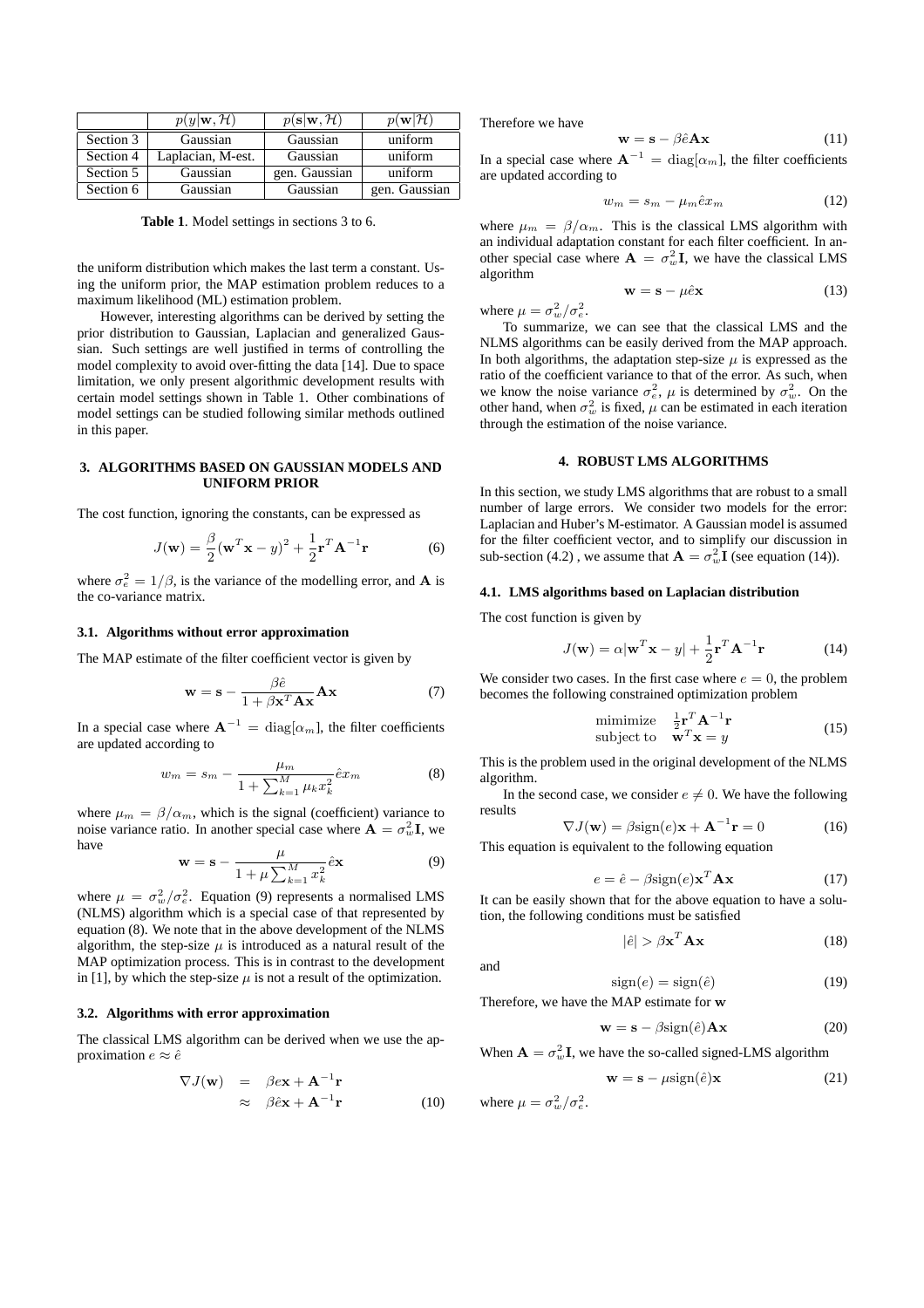|           | $p(y \mathbf{w},\mathcal{H})$ | $p(\mathbf{s} \mathbf{w},\mathcal{H})$ | $p(\mathbf{w} \mathcal{H})$ |
|-----------|-------------------------------|----------------------------------------|-----------------------------|
| Section 3 | Gaussian                      | Gaussian                               | uniform                     |
| Section 4 | Laplacian, M-est.             | Gaussian                               | uniform                     |
| Section 5 | Gaussian                      | gen. Gaussian                          | uniform                     |
| Section 6 | Gaussian                      | Gaussian                               | gen. Gaussian               |

**Table 1**. Model settings in sections 3 to 6.

the uniform distribution which makes the last term a constant. Using the uniform prior, the MAP estimation problem reduces to a maximum likelihood (ML) estimation problem.

However, interesting algorithms can be derived by setting the prior distribution to Gaussian, Laplacian and generalized Gaussian. Such settings are well justified in terms of controlling the model complexity to avoid over-fitting the data [14]. Due to space limitation, we only present algorithmic development results with certain model settings shown in Table 1. Other combinations of model settings can be studied following similar methods outlined in this paper.

## **3. ALGORITHMS BASED ON GAUSSIAN MODELS AND UNIFORM PRIOR**

The cost function, ignoring the constants, can be expressed as

$$
J(\mathbf{w}) = \frac{\beta}{2} (\mathbf{w}^T \mathbf{x} - y)^2 + \frac{1}{2} \mathbf{r}^T \mathbf{A}^{-1} \mathbf{r}
$$
 (6)

where  $\sigma_e^2 = 1/\beta$ , is the variance of the modelling error, and **A** is the co-variance matrix.

#### **3.1. Algorithms without error approximation**

The MAP estimate of the filter coefficient vector is given by

$$
\mathbf{w} = \mathbf{s} - \frac{\beta \hat{e}}{1 + \beta \mathbf{x}^T \mathbf{A} \mathbf{x}} \mathbf{A} \mathbf{x}
$$
 (7)

In a special case where  $\mathbf{A}^{-1} = \text{diag}[\alpha_m]$ , the filter coefficients are updated according to

$$
w_m = s_m - \frac{\mu_m}{1 + \sum_{k=1}^{M} \mu_k x_k^2} \hat{e} x_m \tag{8}
$$

where  $\mu_m = \beta/\alpha_m$ , which is the signal (coefficient) variance to noise variance ratio. In another special case where  $\mathbf{A} = \sigma_w^2 \mathbf{I}$ , we have

$$
\mathbf{w} = \mathbf{s} - \frac{\mu}{1 + \mu \sum_{k=1}^{M} x_k^2} \hat{e} \mathbf{x}
$$
 (9)

where  $\mu = \sigma_w^2/\sigma_e^2$ . Equation (9) represents a normalised LMS (NLMS) algorithm which is a special case of that represented by equation (8). We note that in the above development of the NLMS algorithm, the step-size  $\mu$  is introduced as a natural result of the MAP optimization process. This is in contrast to the development in [1], by which the step-size  $\mu$  is not a result of the optimization.

#### **3.2. Algorithms with error approximation**

The classical LMS algorithm can be derived when we use the approximation  $e \approx \hat{e}$ 

$$
\nabla J(\mathbf{w}) = \beta e \mathbf{x} + \mathbf{A}^{-1} \mathbf{r}
$$
  
\n
$$
\approx \beta \hat{e} \mathbf{x} + \mathbf{A}^{-1} \mathbf{r}
$$
 (10)

Therefore we have

$$
\mathbf{w} = \mathbf{s} - \beta \hat{e} \mathbf{A} \mathbf{x} \tag{11}
$$

In a special case where  $A^{-1} = \text{diag}[\alpha_m]$ , the filter coefficients are updated according to

$$
w_m = s_m - \mu_m \hat{e} x_m \tag{12}
$$

where  $\mu_m = \beta/\alpha_m$ . This is the classical LMS algorithm with an individual adaptation constant for each filter coefficient. In another special case where  $\mathbf{A} = \sigma_w^2 \mathbf{I}$ , we have the classical LMS algorithm

$$
\mathbf{w} = \mathbf{s} - \mu \hat{e} \mathbf{x} \tag{13}
$$

where  $\mu = \sigma_w^2/\sigma_e^2$ .

To summarize, we can see that the classical LMS and the NLMS algorithms can be easily derived from the MAP approach. In both algorithms, the adaptation step-size  $\mu$  is expressed as the ratio of the coefficient variance to that of the error. As such, when we know the noise variance  $\sigma_e^2$ ,  $\mu$  is determined by  $\sigma_w^2$ . On the other hand, when  $\sigma_w^2$  is fixed,  $\mu$  can be estimated in each iteration through the estimation of the noise variance.

#### **4. ROBUST LMS ALGORITHMS**

In this section, we study LMS algorithms that are robust to a small number of large errors. We consider two models for the error: Laplacian and Huber's M-estimator. A Gaussian model is assumed for the filter coefficient vector, and to simplify our discussion in sub-section (4.2), we assume that  $\mathbf{A} = \sigma_w^2 \mathbf{I}$  (see equation (14)).

#### **4.1. LMS algorithms based on Laplacian distribution**

The cost function is given by

$$
J(\mathbf{w}) = \alpha |\mathbf{w}^T \mathbf{x} - y| + \frac{1}{2} \mathbf{r}^T \mathbf{A}^{-1} \mathbf{r}
$$
 (14)

We consider two cases. In the first case where  $e = 0$ , the problem becomes the following constrained optimization problem

$$
\begin{array}{ll}\text{minimize} & \frac{1}{2} \mathbf{r}^T \mathbf{A}^{-1} \mathbf{r} \\ \text{subject to} & \mathbf{w}^T \mathbf{x} = y \end{array} \tag{15}
$$

This is the problem used in the original development of the NLMS algorithm.

In the second case, we consider  $e \neq 0$ . We have the following results

$$
\nabla J(\mathbf{w}) = \beta \text{sign}(e)\mathbf{x} + \mathbf{A}^{-1}\mathbf{r} = 0 \tag{16}
$$

This equation is equivalent to the following equation

$$
e = \hat{e} - \beta \text{sign}(e) \mathbf{x}^T \mathbf{A} \mathbf{x}
$$
 (17)

It can be easily shown that for the above equation to have a solution, the following conditions must be satisfied

$$
|\hat{e}| > \beta \mathbf{x}^T \mathbf{A} \mathbf{x} \tag{18}
$$

and

 $sign(e) = sign(\hat{e})$  (19) Therefore, we have the MAP estimate for w

$$
\mathbf{w} = \mathbf{s} - \beta \text{sign}(\hat{e}) \mathbf{A} \mathbf{x}
$$
 (20)

When  $\mathbf{A} = \sigma_w^2 \mathbf{I}$ , we have the so-called signed-LMS algorithm

$$
\mathbf{w} = \mathbf{s} - \mu \text{sign}(\hat{e})\mathbf{x} \tag{21}
$$

where  $\mu = \sigma_w^2/\sigma_e^2$ .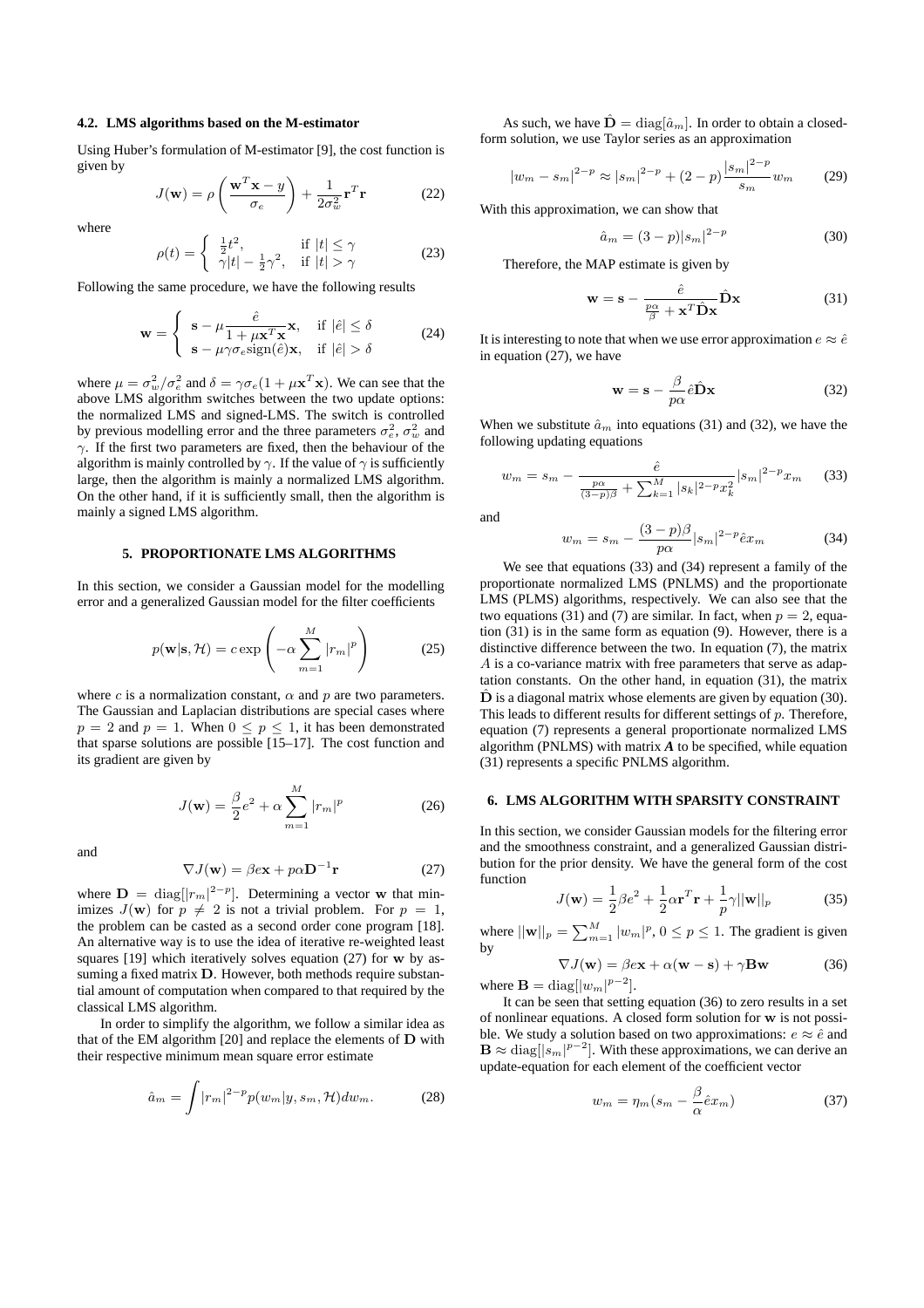#### **4.2. LMS algorithms based on the M-estimator**

Using Huber's formulation of M-estimator [9], the cost function is given by  $\overline{a}$  $\mathbf{r}$ 

$$
J(\mathbf{w}) = \rho \left( \frac{\mathbf{w}^T \mathbf{x} - y}{\sigma_e} \right) + \frac{1}{2\sigma_w^2} \mathbf{r}^T \mathbf{r}
$$
 (22)

where

$$
\rho(t) = \begin{cases} \frac{1}{2}t^2, & \text{if } |t| \le \gamma \\ \gamma|t| - \frac{1}{2}\gamma^2, & \text{if } |t| > \gamma \end{cases}
$$
 (23)

Following the same procedure, we have the following results

$$
\mathbf{w} = \begin{cases} \n\mathbf{s} - \mu \frac{\hat{e}}{1 + \mu \mathbf{x}^T \mathbf{x}}, & \text{if } |\hat{e}| \le \delta \\ \n\mathbf{s} - \mu \gamma \sigma_e \text{sign}(\hat{e}) \mathbf{x}, & \text{if } |\hat{e}| > \delta \n\end{cases} \tag{24}
$$

where  $\mu = \sigma_w^2/\sigma_e^2$  and  $\delta = \gamma \sigma_e (1 + \mu \mathbf{x}^T \mathbf{x})$ . We can see that the above LMS algorithm switches between the two update options: the normalized LMS and signed-LMS. The switch is controlled by previous modelling error and the three parameters  $\sigma_e^2$ ,  $\sigma_w^2$  and  $\gamma$ . If the first two parameters are fixed, then the behaviour of the algorithm is mainly controlled by  $\gamma$ . If the value of  $\gamma$  is sufficiently large, then the algorithm is mainly a normalized LMS algorithm. On the other hand, if it is sufficiently small, then the algorithm is mainly a signed LMS algorithm.

## **5. PROPORTIONATE LMS ALGORITHMS**

In this section, we consider a Gaussian model for the modelling error and a generalized Gaussian model for the filter coefficients

$$
p(\mathbf{w}|\mathbf{s}, \mathcal{H}) = c \exp\left(-\alpha \sum_{m=1}^{M} |r_m|^p\right)
$$
 (25)

where c is a normalization constant,  $\alpha$  and p are two parameters. The Gaussian and Laplacian distributions are special cases where  $p = 2$  and  $p = 1$ . When  $0 \le p \le 1$ , it has been demonstrated that sparse solutions are possible [15–17]. The cost function and its gradient are given by

$$
J(\mathbf{w}) = \frac{\beta}{2}e^2 + \alpha \sum_{m=1}^{M} |r_m|^p
$$
 (26)

and

$$
\nabla J(\mathbf{w}) = \beta e \mathbf{x} + p \alpha \mathbf{D}^{-1} \mathbf{r}
$$
 (27)

where  $\mathbf{D} = \text{diag}(|r_m|^{2-p})$ . Determining a vector w that minimizes  $J(\mathbf{w})$  for  $p \neq 2$  is not a trivial problem. For  $p = 1$ , the problem can be casted as a second order cone program [18]. An alternative way is to use the idea of iterative re-weighted least squares [19] which iteratively solves equation (27) for w by assuming a fixed matrix D. However, both methods require substantial amount of computation when compared to that required by the classical LMS algorithm.

In order to simplify the algorithm, we follow a similar idea as that of the EM algorithm [20] and replace the elements of D with their respective minimum mean square error estimate

$$
\hat{a}_m = \int |r_m|^{2-p} p(w_m|y, s_m, \mathcal{H}) dw_m. \tag{28}
$$

As such, we have  $\mathbf{\tilde{D}} = \text{diag}[\hat{a}_m]$ . In order to obtain a closedform solution, we use Taylor series as an approximation

$$
|w_m - s_m|^{2-p} \approx |s_m|^{2-p} + (2-p)\frac{|s_m|^{2-p}}{s_m}w_m \qquad (29)
$$

With this approximation, we can show that

$$
\hat{a}_m = (3-p)|s_m|^{2-p} \tag{30}
$$

Therefore, the MAP estimate is given by

$$
\mathbf{w} = \mathbf{s} - \frac{\hat{e}}{\frac{p\alpha}{\beta} + \mathbf{x}^T \hat{\mathbf{D}} \mathbf{x}} \hat{\mathbf{D}} \mathbf{x}
$$
(31)

It is interesting to note that when we use error approximation  $e \approx \hat{e}$ in equation (27), we have

$$
\mathbf{w} = \mathbf{s} - \frac{\beta}{p\alpha} \hat{e} \hat{\mathbf{D}} \mathbf{x}
$$
 (32)

When we substitute  $\hat{a}_m$  into equations (31) and (32), we have the following updating equations

$$
w_m = s_m - \frac{\hat{e}}{\frac{p\alpha}{(3-p)\beta} + \sum_{k=1}^{M} |s_k|^{2-p} x_k^2} |s_m|^{2-p} x_m \qquad (33)
$$

and

$$
w_m = s_m - \frac{(3-p)\beta}{p\alpha}|s_m|^{2-p}\hat{e}x_m \tag{34}
$$

We see that equations (33) and (34) represent a family of the proportionate normalized LMS (PNLMS) and the proportionate LMS (PLMS) algorithms, respectively. We can also see that the two equations (31) and (7) are similar. In fact, when  $p = 2$ , equation (31) is in the same form as equation (9). However, there is a distinctive difference between the two. In equation (7), the matrix A is a co-variance matrix with free parameters that serve as adaptation constants. On the other hand, in equation (31), the matrix  $\dot{\mathbf{D}}$  is a diagonal matrix whose elements are given by equation (30). This leads to different results for different settings of  $p$ . Therefore, equation (7) represents a general proportionate normalized LMS algorithm (PNLMS) with matrix *A* to be specified, while equation (31) represents a specific PNLMS algorithm.

#### **6. LMS ALGORITHM WITH SPARSITY CONSTRAINT**

In this section, we consider Gaussian models for the filtering error and the smoothness constraint, and a generalized Gaussian distribution for the prior density. We have the general form of the cost function

$$
J(\mathbf{w}) = \frac{1}{2}\beta e^2 + \frac{1}{2}\alpha \mathbf{r}^T \mathbf{r} + \frac{1}{p}\gamma ||\mathbf{w}||_p \tag{35}
$$

where  $||\mathbf{w}||_p = \sum_{m=1}^M |w_m|^p$ ,  $0 \le p \le 1$ . The gradient is given by

$$
\nabla J(\mathbf{w}) = \beta e \mathbf{x} + \alpha (\mathbf{w} - \mathbf{s}) + \gamma \mathbf{B} \mathbf{w}
$$
 (36)  
where  $\mathbf{B} = \text{diag}[|w_m|^{p-2}].$ 

It can be seen that setting equation (36) to zero results in a set of nonlinear equations. A closed form solution for w is not possible. We study a solution based on two approximations:  $e \approx \hat{e}$  and  $\mathbf{B} \approx \text{diag}([s_m]^{p-2}]$ . With these approximations, we can derive an update-equation for each element of the coefficient vector

$$
w_m = \eta_m (s_m - \frac{\beta}{\alpha} \hat{e} x_m)
$$
\n(37)